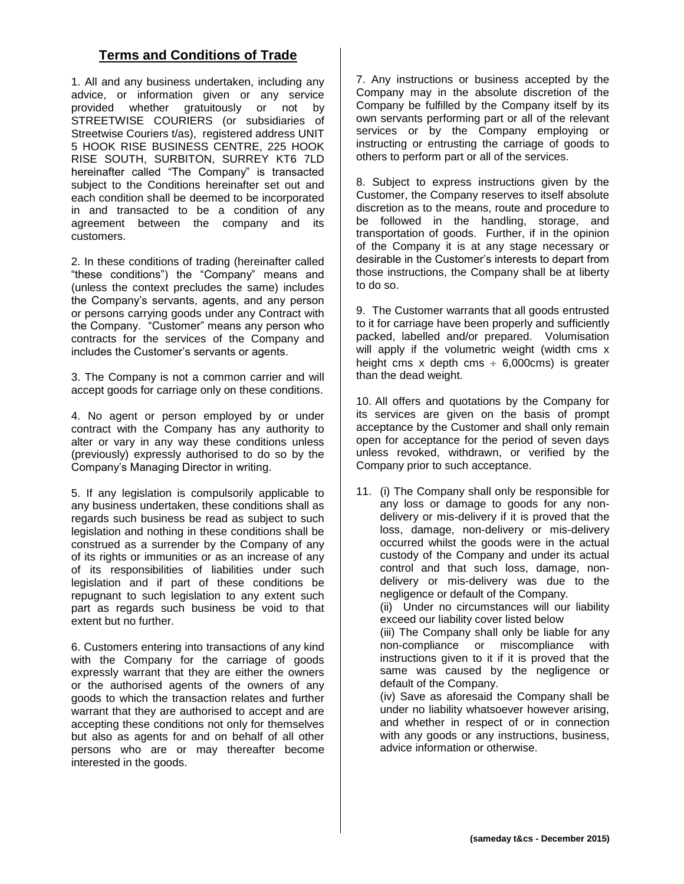## **Terms and Conditions of Trade**

1. All and any business undertaken, including any advice, or information given or any service provided whether gratuitously or not by STREETWISE COURIERS (or subsidiaries of Streetwise Couriers t/as), registered address UNIT 5 HOOK RISE BUSINESS CENTRE, 225 HOOK RISE SOUTH, SURBITON, SURREY KT6 7LD hereinafter called "The Company" is transacted subject to the Conditions hereinafter set out and each condition shall be deemed to be incorporated in and transacted to be a condition of any agreement between the company and its customers.

2. In these conditions of trading (hereinafter called "these conditions") the "Company" means and (unless the context precludes the same) includes the Company's servants, agents, and any person or persons carrying goods under any Contract with the Company. "Customer" means any person who contracts for the services of the Company and includes the Customer's servants or agents.

3. The Company is not a common carrier and will accept goods for carriage only on these conditions.

4. No agent or person employed by or under contract with the Company has any authority to alter or vary in any way these conditions unless (previously) expressly authorised to do so by the Company's Managing Director in writing.

5. If any legislation is compulsorily applicable to any business undertaken, these conditions shall as regards such business be read as subject to such legislation and nothing in these conditions shall be construed as a surrender by the Company of any of its rights or immunities or as an increase of any of its responsibilities of liabilities under such legislation and if part of these conditions be repugnant to such legislation to any extent such part as regards such business be void to that extent but no further.

6. Customers entering into transactions of any kind with the Company for the carriage of goods expressly warrant that they are either the owners or the authorised agents of the owners of any goods to which the transaction relates and further warrant that they are authorised to accept and are accepting these conditions not only for themselves but also as agents for and on behalf of all other persons who are or may thereafter become interested in the goods.

7. Any instructions or business accepted by the Company may in the absolute discretion of the Company be fulfilled by the Company itself by its own servants performing part or all of the relevant services or by the Company employing or instructing or entrusting the carriage of goods to others to perform part or all of the services.

8. Subject to express instructions given by the Customer, the Company reserves to itself absolute discretion as to the means, route and procedure to be followed in the handling, storage, and transportation of goods. Further, if in the opinion of the Company it is at any stage necessary or desirable in the Customer's interests to depart from those instructions, the Company shall be at liberty to do so.

9. The Customer warrants that all goods entrusted to it for carriage have been properly and sufficiently packed, labelled and/or prepared. Volumisation will apply if the volumetric weight (width cms x height cms x depth cms  $\div$  6,000cms) is greater than the dead weight.

10. All offers and quotations by the Company for its services are given on the basis of prompt acceptance by the Customer and shall only remain open for acceptance for the period of seven days unless revoked, withdrawn, or verified by the Company prior to such acceptance.

11. (i) The Company shall only be responsible for any loss or damage to goods for any nondelivery or mis-delivery if it is proved that the loss, damage, non-delivery or mis-delivery occurred whilst the goods were in the actual custody of the Company and under its actual control and that such loss, damage, nondelivery or mis-delivery was due to the negligence or default of the Company.

(ii) Under no circumstances will our liability exceed our liability cover listed below

(iii) The Company shall only be liable for any non-compliance or miscompliance with instructions given to it if it is proved that the same was caused by the negligence or default of the Company.

(iv) Save as aforesaid the Company shall be under no liability whatsoever however arising, and whether in respect of or in connection with any goods or any instructions, business, advice information or otherwise.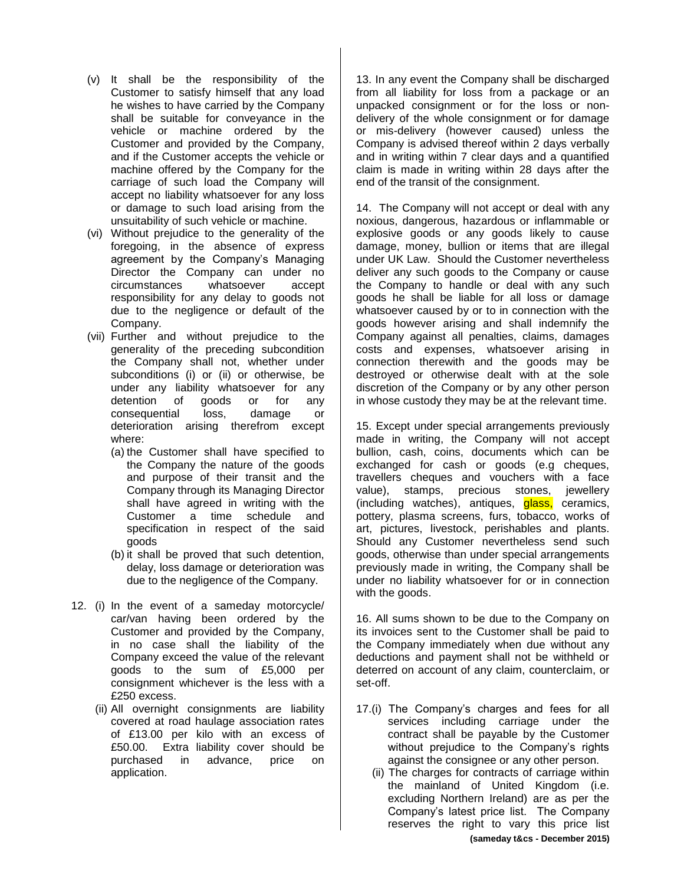- (v) It shall be the responsibility of the Customer to satisfy himself that any load he wishes to have carried by the Company shall be suitable for conveyance in the vehicle or machine ordered by the Customer and provided by the Company, and if the Customer accepts the vehicle or machine offered by the Company for the carriage of such load the Company will accept no liability whatsoever for any loss or damage to such load arising from the unsuitability of such vehicle or machine.
- (vi) Without prejudice to the generality of the foregoing, in the absence of express agreement by the Company's Managing Director the Company can under no circumstances whatsoever accept responsibility for any delay to goods not due to the negligence or default of the Company.
- (vii) Further and without prejudice to the generality of the preceding subcondition the Company shall not, whether under subconditions (i) or (ii) or otherwise, be under any liability whatsoever for any detention of goods or for any consequential loss, damage or deterioration arising therefrom except where:
	- (a) the Customer shall have specified to the Company the nature of the goods and purpose of their transit and the Company through its Managing Director shall have agreed in writing with the Customer a time schedule and specification in respect of the said goods
	- (b) it shall be proved that such detention, delay, loss damage or deterioration was due to the negligence of the Company.
- 12. (i) In the event of a sameday motorcycle/ car/van having been ordered by the Customer and provided by the Company, in no case shall the liability of the Company exceed the value of the relevant goods to the sum of £5,000 per consignment whichever is the less with a £250 excess.
	- (ii) All overnight consignments are liability covered at road haulage association rates of £13.00 per kilo with an excess of £50.00. Extra liability cover should be purchased in advance, price on application.

13. In any event the Company shall be discharged from all liability for loss from a package or an unpacked consignment or for the loss or nondelivery of the whole consignment or for damage or mis-delivery (however caused) unless the Company is advised thereof within 2 days verbally and in writing within 7 clear days and a quantified claim is made in writing within 28 days after the end of the transit of the consignment.

14. The Company will not accept or deal with any noxious, dangerous, hazardous or inflammable or explosive goods or any goods likely to cause damage, money, bullion or items that are illegal under UK Law. Should the Customer nevertheless deliver any such goods to the Company or cause the Company to handle or deal with any such goods he shall be liable for all loss or damage whatsoever caused by or to in connection with the goods however arising and shall indemnify the Company against all penalties, claims, damages costs and expenses, whatsoever arising in connection therewith and the goods may be destroyed or otherwise dealt with at the sole discretion of the Company or by any other person in whose custody they may be at the relevant time.

15. Except under special arrangements previously made in writing, the Company will not accept bullion, cash, coins, documents which can be exchanged for cash or goods (e.g cheques, travellers cheques and vouchers with a face value), stamps, precious stones, jewellery (including watches), antiques, **glass**, ceramics, pottery, plasma screens, furs, tobacco, works of art, pictures, livestock, perishables and plants. Should any Customer nevertheless send such goods, otherwise than under special arrangements previously made in writing, the Company shall be under no liability whatsoever for or in connection with the goods.

16. All sums shown to be due to the Company on its invoices sent to the Customer shall be paid to the Company immediately when due without any deductions and payment shall not be withheld or deterred on account of any claim, counterclaim, or set-off.

- 17.(i) The Company's charges and fees for all services including carriage under the contract shall be payable by the Customer without prejudice to the Company's rights against the consignee or any other person.
	- **(sameday t&cs - December 2015)** (ii) The charges for contracts of carriage within the mainland of United Kingdom (i.e. excluding Northern Ireland) are as per the Company's latest price list. The Company reserves the right to vary this price list